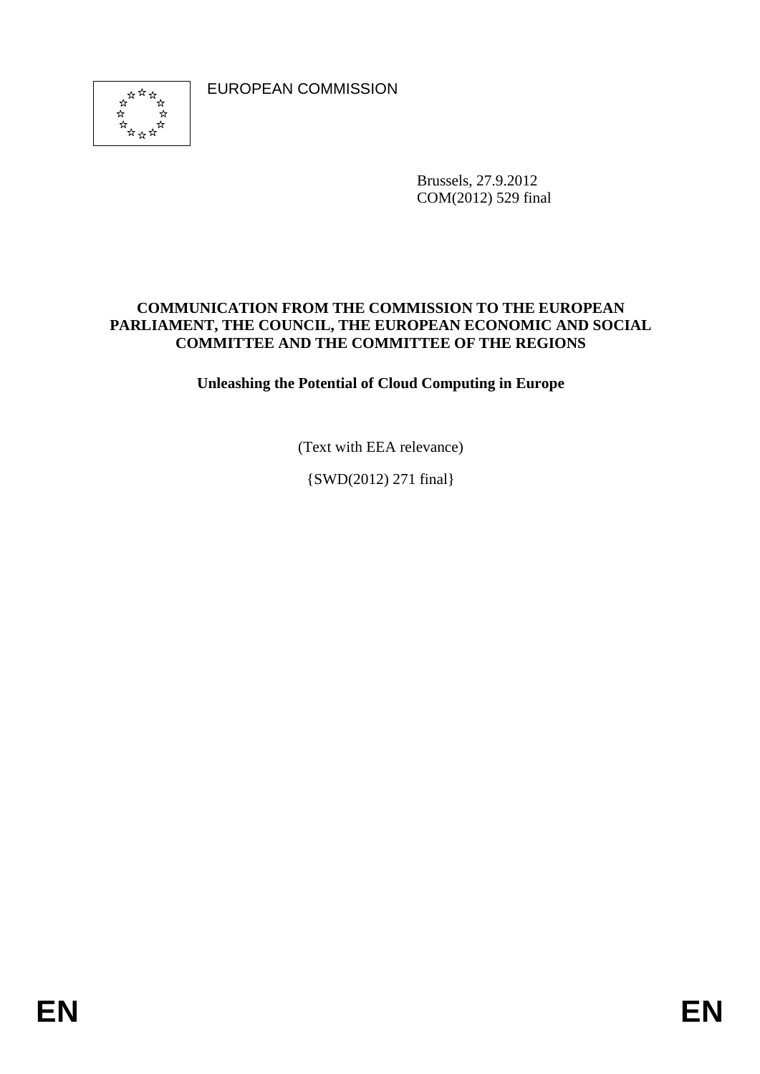EUROPEAN COMMISSION



Brussels, 27.9.2012 COM(2012) 529 final

## **COMMUNICATION FROM THE COMMISSION TO THE EUROPEAN PARLIAMENT, THE COUNCIL, THE EUROPEAN ECONOMIC AND SOCIAL COMMITTEE AND THE COMMITTEE OF THE REGIONS**

**Unleashing the Potential of Cloud Computing in Europe** 

(Text with EEA relevance)

{SWD(2012) 271 final}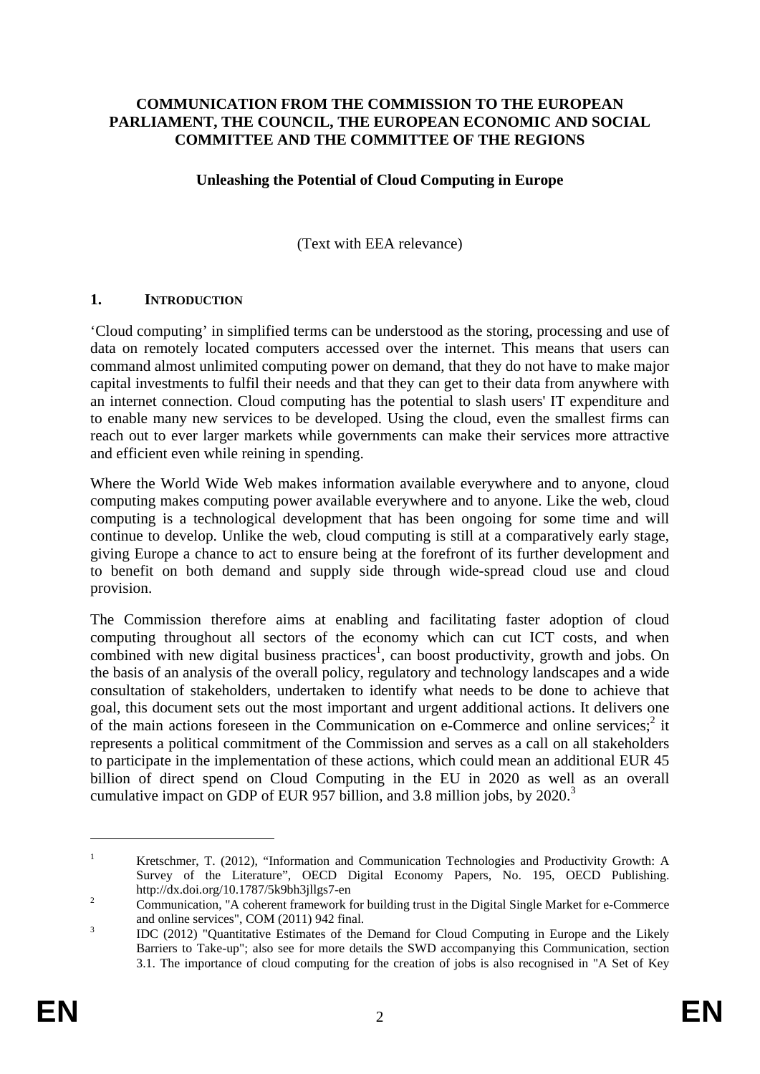#### **COMMUNICATION FROM THE COMMISSION TO THE EUROPEAN PARLIAMENT, THE COUNCIL, THE EUROPEAN ECONOMIC AND SOCIAL COMMITTEE AND THE COMMITTEE OF THE REGIONS**

#### **Unleashing the Potential of Cloud Computing in Europe**

(Text with EEA relevance)

#### **1. INTRODUCTION**

'Cloud computing' in simplified terms can be understood as the storing, processing and use of data on remotely located computers accessed over the internet. This means that users can command almost unlimited computing power on demand, that they do not have to make major capital investments to fulfil their needs and that they can get to their data from anywhere with an internet connection. Cloud computing has the potential to slash users' IT expenditure and to enable many new services to be developed. Using the cloud, even the smallest firms can reach out to ever larger markets while governments can make their services more attractive and efficient even while reining in spending.

Where the World Wide Web makes information available everywhere and to anyone, cloud computing makes computing power available everywhere and to anyone. Like the web, cloud computing is a technological development that has been ongoing for some time and will continue to develop. Unlike the web, cloud computing is still at a comparatively early stage, giving Europe a chance to act to ensure being at the forefront of its further development and to benefit on both demand and supply side through wide-spread cloud use and cloud provision.

The Commission therefore aims at enabling and facilitating faster adoption of cloud computing throughout all sectors of the economy which can cut ICT costs, and when combined with new digital business practices<sup>1</sup>, can boost productivity, growth and jobs. On the basis of an analysis of the overall policy, regulatory and technology landscapes and a wide consultation of stakeholders, undertaken to identify what needs to be done to achieve that goal, this document sets out the most important and urgent additional actions. It delivers one of the main actions foreseen in the Communication on  $e$ -Commerce and online services;<sup>2</sup> it represents a political commitment of the Commission and serves as a call on all stakeholders to participate in the implementation of these actions, which could mean an additional EUR 45 billion of direct spend on Cloud Computing in the EU in 2020 as well as an overall cumulative impact on GDP of EUR 957 billion, and 3.8 million jobs, by 2020.<sup>3</sup>

<sup>1</sup> Kretschmer, T. (2012), "Information and Communication Technologies and Productivity Growth: A Survey of the Literature", OECD Digital Economy Papers, No. 195, OECD Publishing. http://dx.doi.org/10.1787/5k9bh3jllgs7-en

Communication, "A coherent framework for building trust in the Digital Single Market for e-Commerce and online services", COM (2011) 942 final.

IDC (2012) "Quantitative Estimates of the Demand for Cloud Computing in Europe and the Likely Barriers to Take-up"; also see for more details the SWD accompanying this Communication, section 3.1. The importance of cloud computing for the creation of jobs is also recognised in "A Set of Key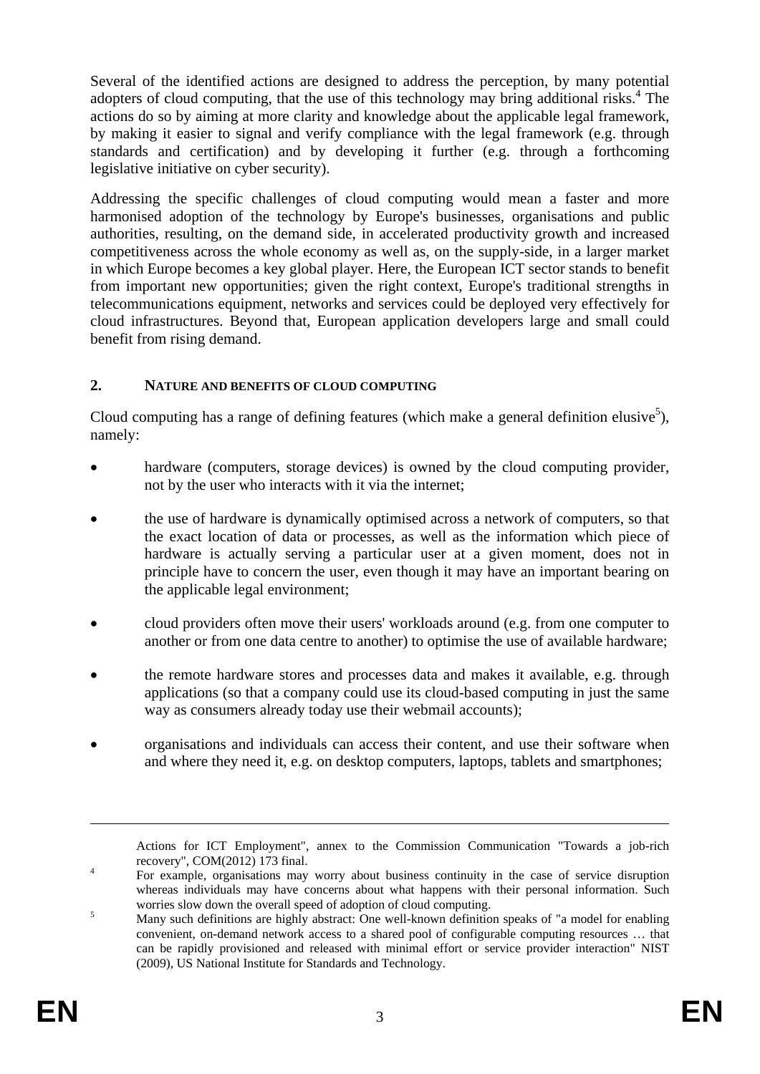Several of the identified actions are designed to address the perception, by many potential adopters of cloud computing, that the use of this technology may bring additional risks.<sup>4</sup> The actions do so by aiming at more clarity and knowledge about the applicable legal framework, by making it easier to signal and verify compliance with the legal framework (e.g. through standards and certification) and by developing it further (e.g. through a forthcoming legislative initiative on cyber security).

Addressing the specific challenges of cloud computing would mean a faster and more harmonised adoption of the technology by Europe's businesses, organisations and public authorities, resulting, on the demand side, in accelerated productivity growth and increased competitiveness across the whole economy as well as, on the supply-side, in a larger market in which Europe becomes a key global player. Here, the European ICT sector stands to benefit from important new opportunities; given the right context, Europe's traditional strengths in telecommunications equipment, networks and services could be deployed very effectively for cloud infrastructures. Beyond that, European application developers large and small could benefit from rising demand.

## **2. NATURE AND BENEFITS OF CLOUD COMPUTING**

Cloud computing has a range of defining features (which make a general definition elusive<sup>5</sup>), namely:

- hardware (computers, storage devices) is owned by the cloud computing provider, not by the user who interacts with it via the internet;
- the use of hardware is dynamically optimised across a network of computers, so that the exact location of data or processes, as well as the information which piece of hardware is actually serving a particular user at a given moment, does not in principle have to concern the user, even though it may have an important bearing on the applicable legal environment;
- cloud providers often move their users' workloads around (e.g. from one computer to another or from one data centre to another) to optimise the use of available hardware;
- the remote hardware stores and processes data and makes it available, e.g. through applications (so that a company could use its cloud-based computing in just the same way as consumers already today use their webmail accounts);
- organisations and individuals can access their content, and use their software when and where they need it, e.g. on desktop computers, laptops, tablets and smartphones;

Actions for ICT Employment", annex to the Commission Communication "Towards a job-rich recovery",  $COM(2012)$  173 final.

For example, organisations may worry about business continuity in the case of service disruption whereas individuals may have concerns about what happens with their personal information. Such worries slow down the overall speed of adoption of cloud computing.

Many such definitions are highly abstract: One well-known definition speaks of "a model for enabling convenient, on-demand network access to a shared pool of configurable computing resources … that can be rapidly provisioned and released with minimal effort or service provider interaction" NIST (2009), US National Institute for Standards and Technology.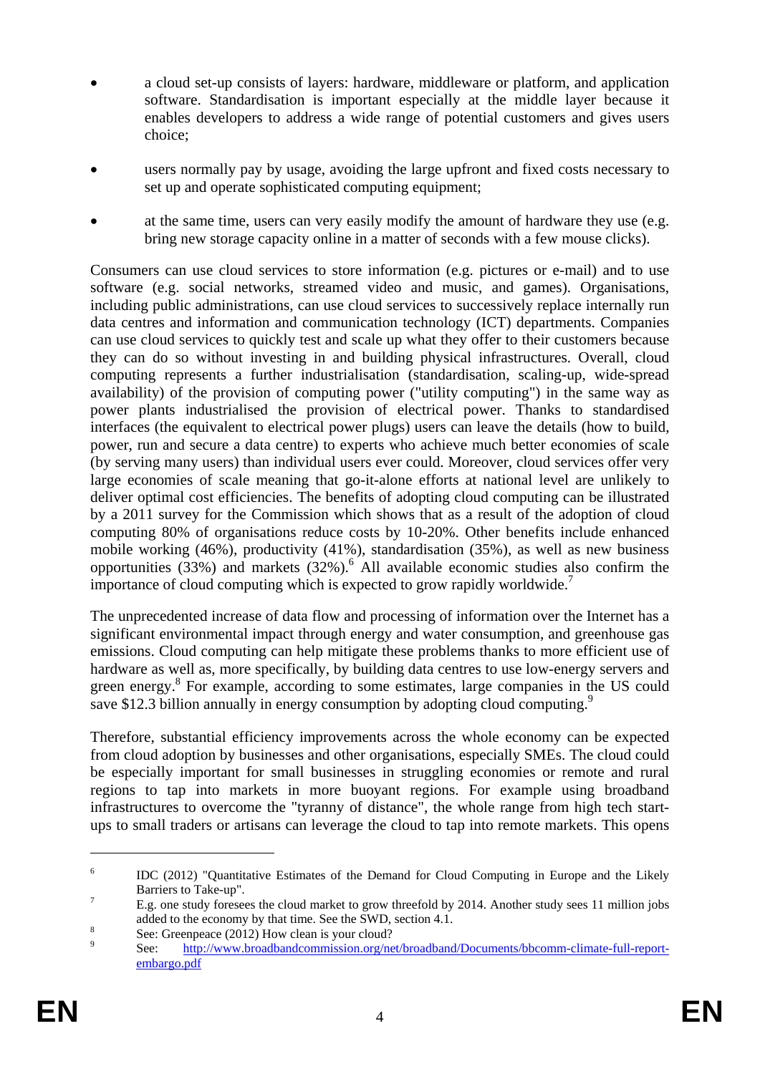- a cloud set-up consists of layers: hardware, middleware or platform, and application software. Standardisation is important especially at the middle layer because it enables developers to address a wide range of potential customers and gives users choice;
- users normally pay by usage, avoiding the large upfront and fixed costs necessary to set up and operate sophisticated computing equipment;
- at the same time, users can very easily modify the amount of hardware they use (e.g. bring new storage capacity online in a matter of seconds with a few mouse clicks).

Consumers can use cloud services to store information (e.g. pictures or e-mail) and to use software (e.g. social networks, streamed video and music, and games). Organisations, including public administrations, can use cloud services to successively replace internally run data centres and information and communication technology (ICT) departments. Companies can use cloud services to quickly test and scale up what they offer to their customers because they can do so without investing in and building physical infrastructures. Overall, cloud computing represents a further industrialisation (standardisation, scaling-up, wide-spread availability) of the provision of computing power ("utility computing") in the same way as power plants industrialised the provision of electrical power. Thanks to standardised interfaces (the equivalent to electrical power plugs) users can leave the details (how to build, power, run and secure a data centre) to experts who achieve much better economies of scale (by serving many users) than individual users ever could. Moreover, cloud services offer very large economies of scale meaning that go-it-alone efforts at national level are unlikely to deliver optimal cost efficiencies. The benefits of adopting cloud computing can be illustrated by a 2011 survey for the Commission which shows that as a result of the adoption of cloud computing 80% of organisations reduce costs by 10-20%. Other benefits include enhanced mobile working (46%), productivity (41%), standardisation (35%), as well as new business opportunities  $(33%)$  and markets  $(32%)$ . All available economic studies also confirm the importance of cloud computing which is expected to grow rapidly worldwide.<sup>7</sup>

The unprecedented increase of data flow and processing of information over the Internet has a significant environmental impact through energy and water consumption, and greenhouse gas emissions. Cloud computing can help mitigate these problems thanks to more efficient use of hardware as well as, more specifically, by building data centres to use low-energy servers and green energy.<sup>8</sup> For example, according to some estimates, large companies in the US could save \$12.3 billion annually in energy consumption by adopting cloud computing.<sup>9</sup>

Therefore, substantial efficiency improvements across the whole economy can be expected from cloud adoption by businesses and other organisations, especially SMEs. The cloud could be especially important for small businesses in struggling economies or remote and rural regions to tap into markets in more buoyant regions. For example using broadband infrastructures to overcome the "tyranny of distance", the whole range from high tech startups to small traders or artisans can leverage the cloud to tap into remote markets. This opens

<sup>6</sup> IDC (2012) "Quantitative Estimates of the Demand for Cloud Computing in Europe and the Likely Barriers to Take-up".

E.g. one study foresees the cloud market to grow threefold by 2014. Another study sees 11 million jobs added to the economy by that time. See the SWD, section 4.1.  $\frac{8}{10}$ 

See: Greenpeace (2012) How clean is your cloud?<br>
See: http://www.broadbandcommission.org/ne

[http://www.broadbandcommission.org/net/broadband/Documents/bbcomm-climate-full-report](http://www.broadbandcommission.org/net/broadband/Documents/bbcomm-climate-full-report-embargo.pdf)[embargo.pdf](http://www.broadbandcommission.org/net/broadband/Documents/bbcomm-climate-full-report-embargo.pdf)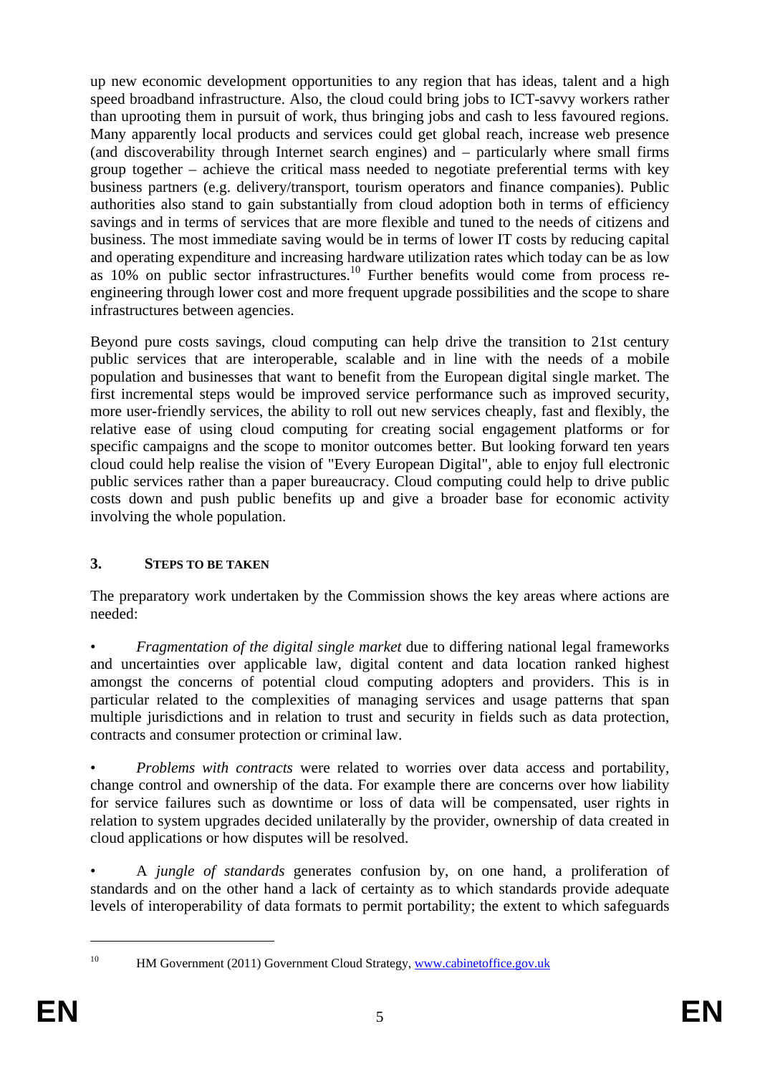up new economic development opportunities to any region that has ideas, talent and a high speed broadband infrastructure. Also, the cloud could bring jobs to ICT-savvy workers rather than uprooting them in pursuit of work, thus bringing jobs and cash to less favoured regions. Many apparently local products and services could get global reach, increase web presence (and discoverability through Internet search engines) and – particularly where small firms group together – achieve the critical mass needed to negotiate preferential terms with key business partners (e.g. delivery/transport, tourism operators and finance companies). Public authorities also stand to gain substantially from cloud adoption both in terms of efficiency savings and in terms of services that are more flexible and tuned to the needs of citizens and business. The most immediate saving would be in terms of lower IT costs by reducing capital and operating expenditure and increasing hardware utilization rates which today can be as low as  $10\%$  on public sector infrastructures.<sup>10</sup> Further benefits would come from process reengineering through lower cost and more frequent upgrade possibilities and the scope to share infrastructures between agencies.

Beyond pure costs savings, cloud computing can help drive the transition to 21st century public services that are interoperable, scalable and in line with the needs of a mobile population and businesses that want to benefit from the European digital single market. The first incremental steps would be improved service performance such as improved security, more user-friendly services, the ability to roll out new services cheaply, fast and flexibly, the relative ease of using cloud computing for creating social engagement platforms or for specific campaigns and the scope to monitor outcomes better. But looking forward ten years cloud could help realise the vision of "Every European Digital", able to enjoy full electronic public services rather than a paper bureaucracy. Cloud computing could help to drive public costs down and push public benefits up and give a broader base for economic activity involving the whole population.

# **3. STEPS TO BE TAKEN**

The preparatory work undertaken by the Commission shows the key areas where actions are needed:

• *Fragmentation of the digital single market* due to differing national legal frameworks and uncertainties over applicable law, digital content and data location ranked highest amongst the concerns of potential cloud computing adopters and providers. This is in particular related to the complexities of managing services and usage patterns that span multiple jurisdictions and in relation to trust and security in fields such as data protection, contracts and consumer protection or criminal law.

• *Problems with contracts* were related to worries over data access and portability, change control and ownership of the data. For example there are concerns over how liability for service failures such as downtime or loss of data will be compensated, user rights in relation to system upgrades decided unilaterally by the provider, ownership of data created in cloud applications or how disputes will be resolved.

• A *jungle of standards* generates confusion by, on one hand, a proliferation of standards and on the other hand a lack of certainty as to which standards provide adequate levels of interoperability of data formats to permit portability; the extent to which safeguards

<sup>&</sup>lt;sup>10</sup> HM Government (2011) Government Cloud Strategy, www.cabinetoffice.gov.uk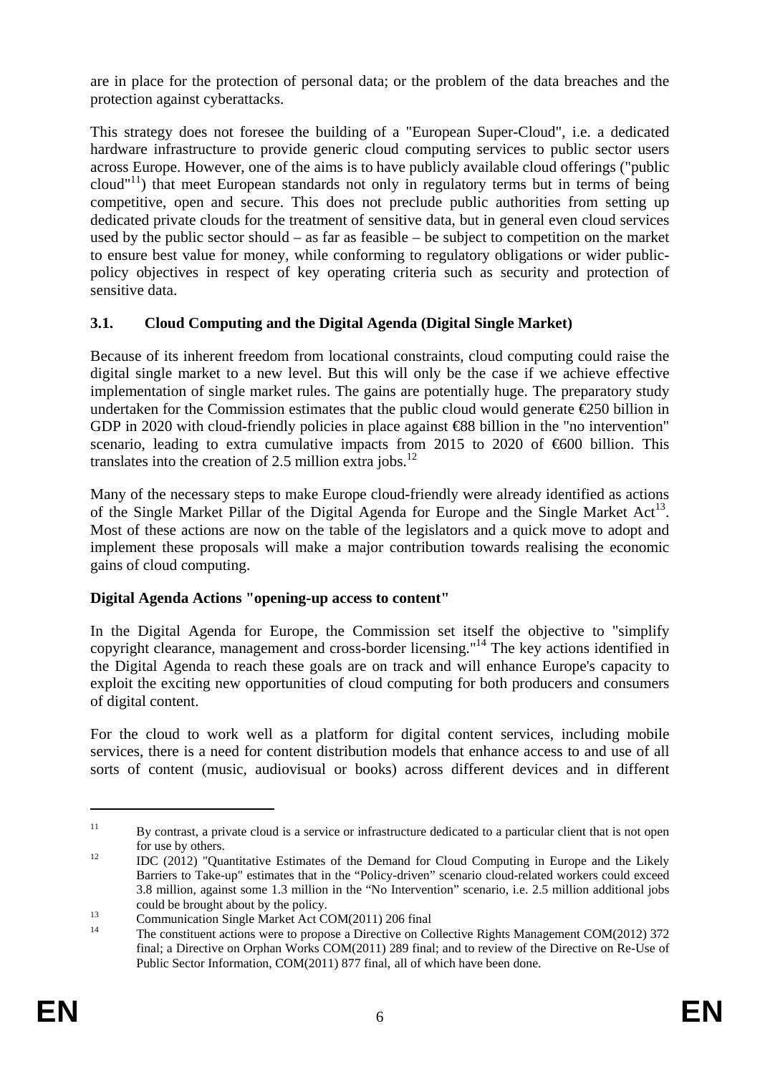are in place for the protection of personal data; or the problem of the data breaches and the protection against cyberattacks.

This strategy does not foresee the building of a "European Super-Cloud", i.e. a dedicated hardware infrastructure to provide generic cloud computing services to public sector users across Europe. However, one of the aims is to have publicly available cloud offerings ("public cloud"<sup>11</sup>) that meet European standards not only in regulatory terms but in terms of being competitive, open and secure. This does not preclude public authorities from setting up dedicated private clouds for the treatment of sensitive data, but in general even cloud services used by the public sector should – as far as feasible – be subject to competition on the market to ensure best value for money, while conforming to regulatory obligations or wider publicpolicy objectives in respect of key operating criteria such as security and protection of sensitive data.

# **3.1. Cloud Computing and the Digital Agenda (Digital Single Market)**

Because of its inherent freedom from locational constraints, cloud computing could raise the digital single market to a new level. But this will only be the case if we achieve effective implementation of single market rules. The gains are potentially huge. The preparatory study undertaken for the Commission estimates that the public cloud would generate  $\epsilon$ 250 billion in GDP in 2020 with cloud-friendly policies in place against €88 billion in the "no intervention" scenario, leading to extra cumulative impacts from 2015 to 2020 of €600 billion. This translates into the creation of 2.5 million extra jobs. $^{12}$ 

Many of the necessary steps to make Europe cloud-friendly were already identified as actions of the Single Market Pillar of the Digital Agenda for Europe and the Single Market  $Act^{13}$ . Most of these actions are now on the table of the legislators and a quick move to adopt and implement these proposals will make a major contribution towards realising the economic gains of cloud computing.

# **Digital Agenda Actions "opening-up access to content"**

In the Digital Agenda for Europe, the Commission set itself the objective to "simplify copyright clearance, management and cross-border licensing."14 The key actions identified in the Digital Agenda to reach these goals are on track and will enhance Europe's capacity to exploit the exciting new opportunities of cloud computing for both producers and consumers of digital content.

For the cloud to work well as a platform for digital content services, including mobile services, there is a need for content distribution models that enhance access to and use of all sorts of content (music, audiovisual or books) across different devices and in different

<sup>&</sup>lt;sup>11</sup> By contrast, a private cloud is a service or infrastructure dedicated to a particular client that is not open for use by others.<br>
12 IDC (2012) "Quantitative Estimates of the Demand for Cloud Computing in Europe and the Likely

Barriers to Take-up" estimates that in the "Policy-driven" scenario cloud-related workers could exceed 3.8 million, against some 1.3 million in the "No Intervention" scenario, i.e. 2.5 million additional jobs

could be brought about by the policy.<br>
Communication Single Market Act COM(2011) 206 final<br>
<sup>14</sup> The constituent esting was to propese a Directive on Co

<sup>14</sup> The constituent actions were to propose a Directive on Collective Rights Management COM(2012) 372 final; a Directive on Orphan Works COM(2011) 289 final; and to review of the Directive on Re-Use of Public Sector Information, COM(2011) 877 final, all of which have been done.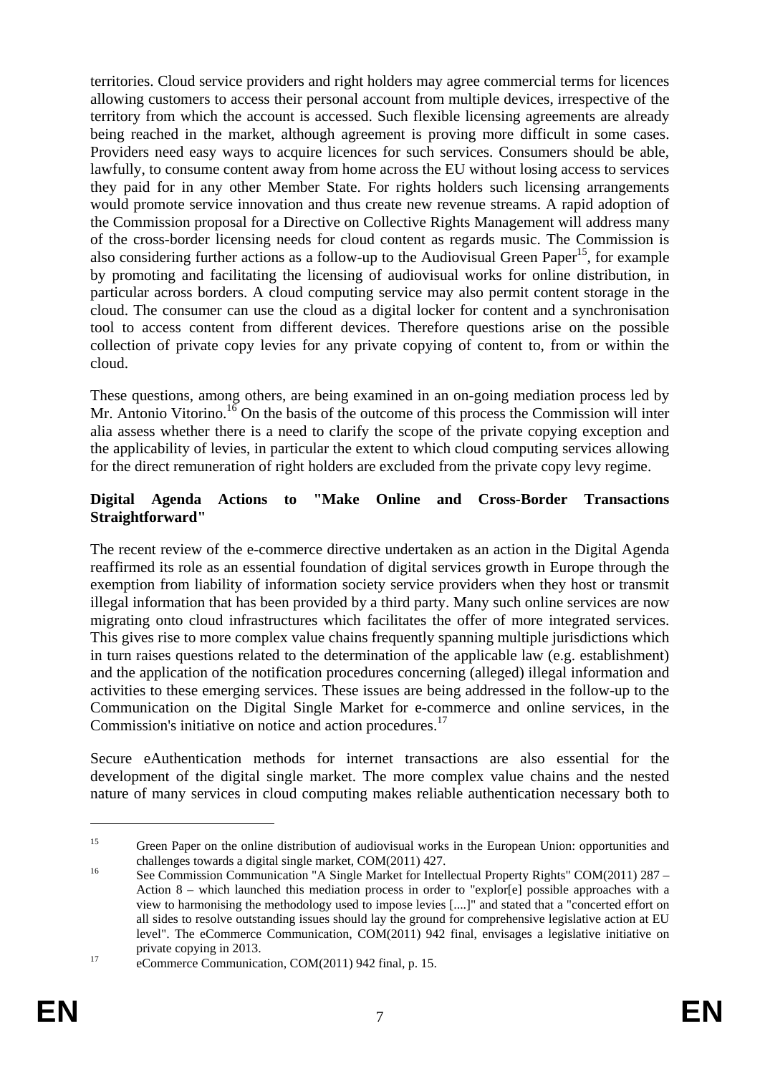territories. Cloud service providers and right holders may agree commercial terms for licences allowing customers to access their personal account from multiple devices, irrespective of the territory from which the account is accessed. Such flexible licensing agreements are already being reached in the market, although agreement is proving more difficult in some cases. Providers need easy ways to acquire licences for such services. Consumers should be able, lawfully, to consume content away from home across the EU without losing access to services they paid for in any other Member State. For rights holders such licensing arrangements would promote service innovation and thus create new revenue streams. A rapid adoption of the Commission proposal for a Directive on Collective Rights Management will address many of the cross-border licensing needs for cloud content as regards music. The Commission is also considering further actions as a follow-up to the Audiovisual Green Paper<sup>15</sup>, for example by promoting and facilitating the licensing of audiovisual works for online distribution, in particular across borders. A cloud computing service may also permit content storage in the cloud. The consumer can use the cloud as a digital locker for content and a synchronisation tool to access content from different devices. Therefore questions arise on the possible collection of private copy levies for any private copying of content to, from or within the cloud.

These questions, among others, are being examined in an on-going mediation process led by Mr. Antonio Vitorino.<sup>16</sup> On the basis of the outcome of this process the Commission will inter alia assess whether there is a need to clarify the scope of the private copying exception and the applicability of levies, in particular the extent to which cloud computing services allowing for the direct remuneration of right holders are excluded from the private copy levy regime.

### **Digital Agenda Actions to "Make Online and Cross-Border Transactions Straightforward"**

The recent review of the e-commerce directive undertaken as an action in the Digital Agenda reaffirmed its role as an essential foundation of digital services growth in Europe through the exemption from liability of information society service providers when they host or transmit illegal information that has been provided by a third party. Many such online services are now migrating onto cloud infrastructures which facilitates the offer of more integrated services. This gives rise to more complex value chains frequently spanning multiple jurisdictions which in turn raises questions related to the determination of the applicable law (e.g. establishment) and the application of the notification procedures concerning (alleged) illegal information and activities to these emerging services. These issues are being addressed in the follow-up to the Communication on the Digital Single Market for e-commerce and online services, in the Commission's initiative on notice and action procedures.<sup>17</sup>

Secure eAuthentication methods for internet transactions are also essential for the development of the digital single market. The more complex value chains and the nested nature of many services in cloud computing makes reliable authentication necessary both to

<sup>&</sup>lt;sup>15</sup> Green Paper on the online distribution of audiovisual works in the European Union: opportunities and challenges towards a digital single market, COM(2011) 427.<br>
See Commission Communication "A Single Market for Intellectual Property Rights" COM(2011) 287 –

Action 8 – which launched this mediation process in order to "explor[e] possible approaches with a view to harmonising the methodology used to impose levies [....]" and stated that a "concerted effort on all sides to resolve outstanding issues should lay the ground for comprehensive legislative action at EU level". The eCommerce Communication, COM(2011) 942 final, envisages a legislative initiative on private copying in 2013.<br>
17 eCommerce Communication, COM(2011) 942 final, p. 15.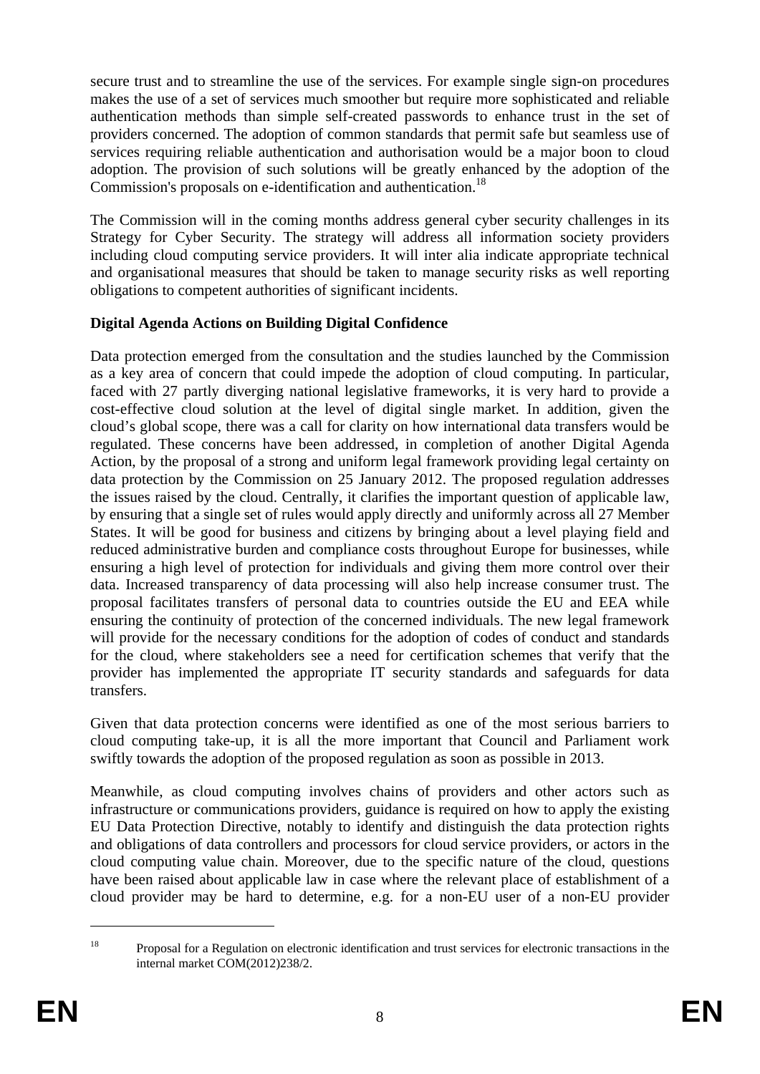secure trust and to streamline the use of the services. For example single sign-on procedures makes the use of a set of services much smoother but require more sophisticated and reliable authentication methods than simple self-created passwords to enhance trust in the set of providers concerned. The adoption of common standards that permit safe but seamless use of services requiring reliable authentication and authorisation would be a major boon to cloud adoption. The provision of such solutions will be greatly enhanced by the adoption of the Commission's proposals on e-identification and authentication.<sup>18</sup>

The Commission will in the coming months address general cyber security challenges in its Strategy for Cyber Security. The strategy will address all information society providers including cloud computing service providers. It will inter alia indicate appropriate technical and organisational measures that should be taken to manage security risks as well reporting obligations to competent authorities of significant incidents.

## **Digital Agenda Actions on Building Digital Confidence**

Data protection emerged from the consultation and the studies launched by the Commission as a key area of concern that could impede the adoption of cloud computing. In particular, faced with 27 partly diverging national legislative frameworks, it is very hard to provide a cost-effective cloud solution at the level of digital single market. In addition, given the cloud's global scope, there was a call for clarity on how international data transfers would be regulated. These concerns have been addressed, in completion of another Digital Agenda Action, by the proposal of a strong and uniform legal framework providing legal certainty on data protection by the Commission on 25 January 2012. The proposed regulation addresses the issues raised by the cloud. Centrally, it clarifies the important question of applicable law, by ensuring that a single set of rules would apply directly and uniformly across all 27 Member States. It will be good for business and citizens by bringing about a level playing field and reduced administrative burden and compliance costs throughout Europe for businesses, while ensuring a high level of protection for individuals and giving them more control over their data. Increased transparency of data processing will also help increase consumer trust. The proposal facilitates transfers of personal data to countries outside the EU and EEA while ensuring the continuity of protection of the concerned individuals. The new legal framework will provide for the necessary conditions for the adoption of codes of conduct and standards for the cloud, where stakeholders see a need for certification schemes that verify that the provider has implemented the appropriate IT security standards and safeguards for data transfers.

Given that data protection concerns were identified as one of the most serious barriers to cloud computing take-up, it is all the more important that Council and Parliament work swiftly towards the adoption of the proposed regulation as soon as possible in 2013.

Meanwhile, as cloud computing involves chains of providers and other actors such as infrastructure or communications providers, guidance is required on how to apply the existing EU Data Protection Directive, notably to identify and distinguish the data protection rights and obligations of data controllers and processors for cloud service providers, or actors in the cloud computing value chain. Moreover, due to the specific nature of the cloud, questions have been raised about applicable law in case where the relevant place of establishment of a cloud provider may be hard to determine, e.g. for a non-EU user of a non-EU provider

<sup>&</sup>lt;sup>18</sup> Proposal for a Regulation on electronic identification and trust services for electronic transactions in the internal market COM(2012)238/2.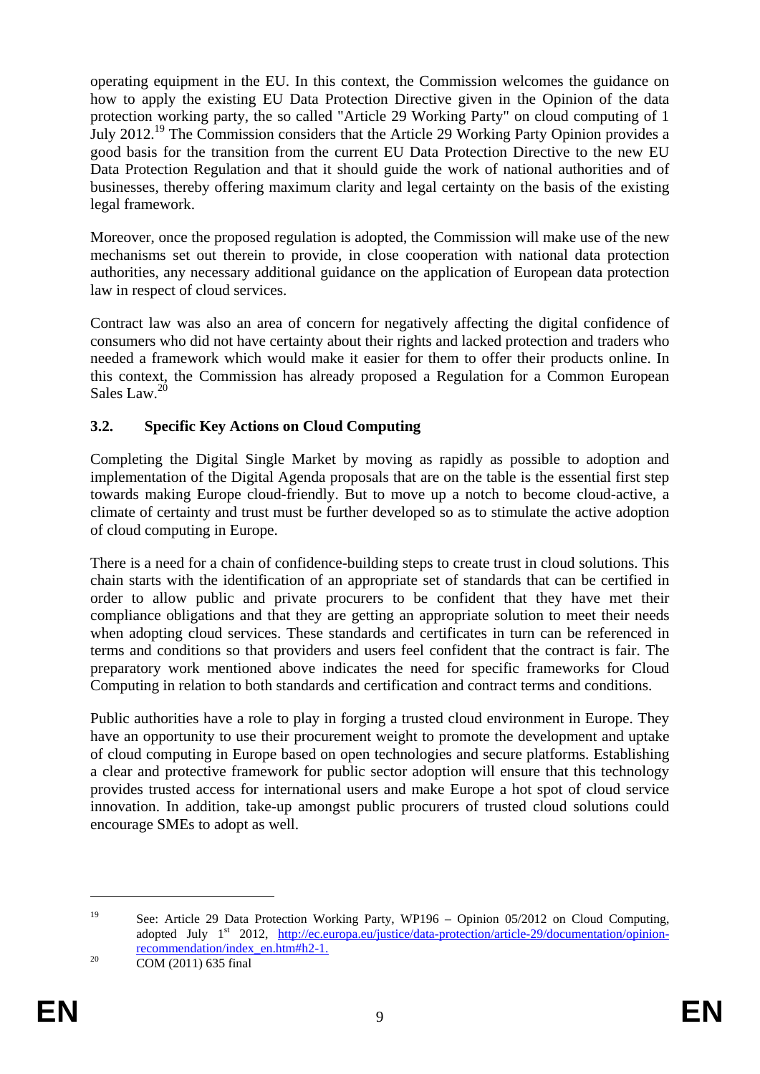operating equipment in the EU. In this context, the Commission welcomes the guidance on how to apply the existing EU Data Protection Directive given in the Opinion of the data protection working party, the so called "Article 29 Working Party" on cloud computing of 1 July 2012.<sup>19</sup> The Commission considers that the Article 29 Working Party Opinion provides a good basis for the transition from the current EU Data Protection Directive to the new EU Data Protection Regulation and that it should guide the work of national authorities and of businesses, thereby offering maximum clarity and legal certainty on the basis of the existing legal framework.

Moreover, once the proposed regulation is adopted, the Commission will make use of the new mechanisms set out therein to provide, in close cooperation with national data protection authorities, any necessary additional guidance on the application of European data protection law in respect of cloud services.

Contract law was also an area of concern for negatively affecting the digital confidence of consumers who did not have certainty about their rights and lacked protection and traders who needed a framework which would make it easier for them to offer their products online. In this context, the Commission has already proposed a Regulation for a Common European Sales Law.<sup>20</sup>

## **3.2. Specific Key Actions on Cloud Computing**

Completing the Digital Single Market by moving as rapidly as possible to adoption and implementation of the Digital Agenda proposals that are on the table is the essential first step towards making Europe cloud-friendly. But to move up a notch to become cloud-active, a climate of certainty and trust must be further developed so as to stimulate the active adoption of cloud computing in Europe.

There is a need for a chain of confidence-building steps to create trust in cloud solutions. This chain starts with the identification of an appropriate set of standards that can be certified in order to allow public and private procurers to be confident that they have met their compliance obligations and that they are getting an appropriate solution to meet their needs when adopting cloud services. These standards and certificates in turn can be referenced in terms and conditions so that providers and users feel confident that the contract is fair. The preparatory work mentioned above indicates the need for specific frameworks for Cloud Computing in relation to both standards and certification and contract terms and conditions.

Public authorities have a role to play in forging a trusted cloud environment in Europe. They have an opportunity to use their procurement weight to promote the development and uptake of cloud computing in Europe based on open technologies and secure platforms. Establishing a clear and protective framework for public sector adoption will ensure that this technology provides trusted access for international users and make Europe a hot spot of cloud service innovation. In addition, take-up amongst public procurers of trusted cloud solutions could encourage SMEs to adopt as well.

<sup>&</sup>lt;sup>19</sup> See: Article 29 Data Protection Working Party, WP196 – Opinion 05/2012 on Cloud Computing, adopted July 1<sup>st</sup> 2012, [http://ec.europa.eu/justice/data-protection/article-29/documentation/opinion](http://ec.europa.eu/justice/data-protection/article-29/documentation/opinion-recommendation/index_en.htm#h2-1)recommendation/index\_en.htm#h2-1.<br>
COM (2011) 635 final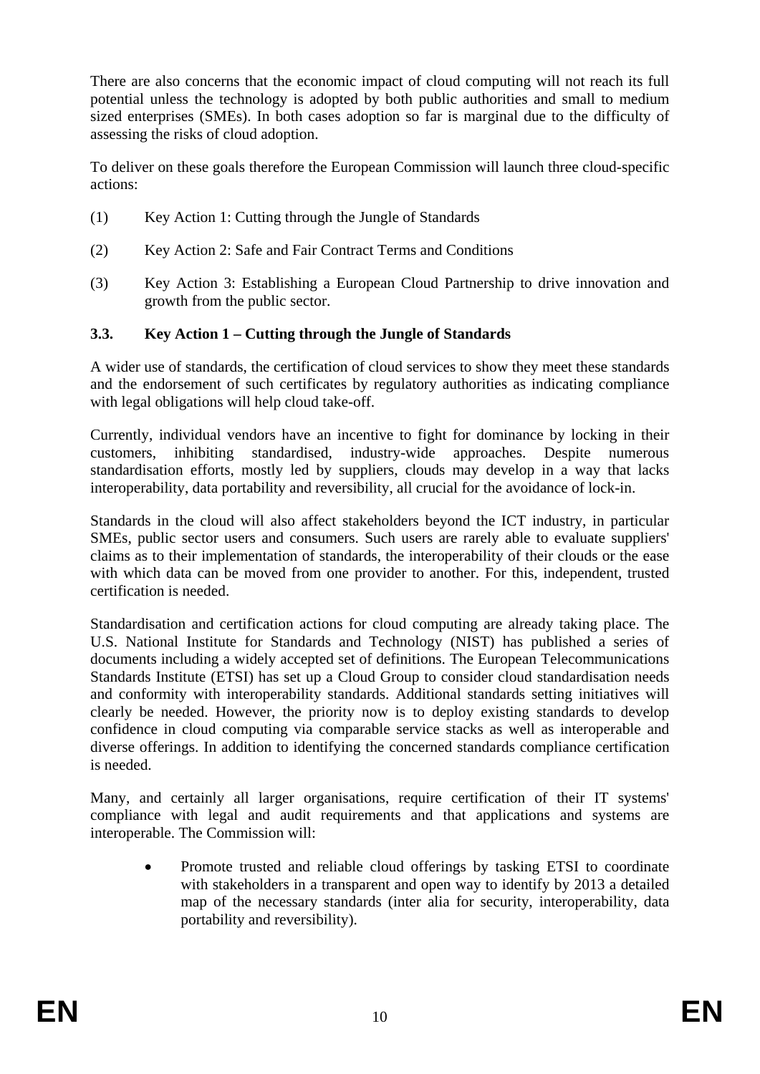There are also concerns that the economic impact of cloud computing will not reach its full potential unless the technology is adopted by both public authorities and small to medium sized enterprises (SMEs). In both cases adoption so far is marginal due to the difficulty of assessing the risks of cloud adoption.

To deliver on these goals therefore the European Commission will launch three cloud-specific actions:

- (1) Key Action 1: Cutting through the Jungle of Standards
- (2) Key Action 2: Safe and Fair Contract Terms and Conditions
- (3) Key Action 3: Establishing a European Cloud Partnership to drive innovation and growth from the public sector.

## **3.3. Key Action 1 – Cutting through the Jungle of Standards**

A wider use of standards, the certification of cloud services to show they meet these standards and the endorsement of such certificates by regulatory authorities as indicating compliance with legal obligations will help cloud take-off.

Currently, individual vendors have an incentive to fight for dominance by locking in their customers, inhibiting standardised, industry-wide approaches. Despite numerous standardisation efforts, mostly led by suppliers, clouds may develop in a way that lacks interoperability, data portability and reversibility, all crucial for the avoidance of lock-in.

Standards in the cloud will also affect stakeholders beyond the ICT industry, in particular SMEs, public sector users and consumers. Such users are rarely able to evaluate suppliers' claims as to their implementation of standards, the interoperability of their clouds or the ease with which data can be moved from one provider to another. For this, independent, trusted certification is needed.

Standardisation and certification actions for cloud computing are already taking place. The U.S. National Institute for Standards and Technology (NIST) has published a series of documents including a widely accepted set of definitions. The European Telecommunications Standards Institute (ETSI) has set up a Cloud Group to consider cloud standardisation needs and conformity with interoperability standards. Additional standards setting initiatives will clearly be needed. However, the priority now is to deploy existing standards to develop confidence in cloud computing via comparable service stacks as well as interoperable and diverse offerings. In addition to identifying the concerned standards compliance certification is needed.

Many, and certainly all larger organisations, require certification of their IT systems' compliance with legal and audit requirements and that applications and systems are interoperable. The Commission will:

• Promote trusted and reliable cloud offerings by tasking ETSI to coordinate with stakeholders in a transparent and open way to identify by 2013 a detailed map of the necessary standards (inter alia for security, interoperability, data portability and reversibility).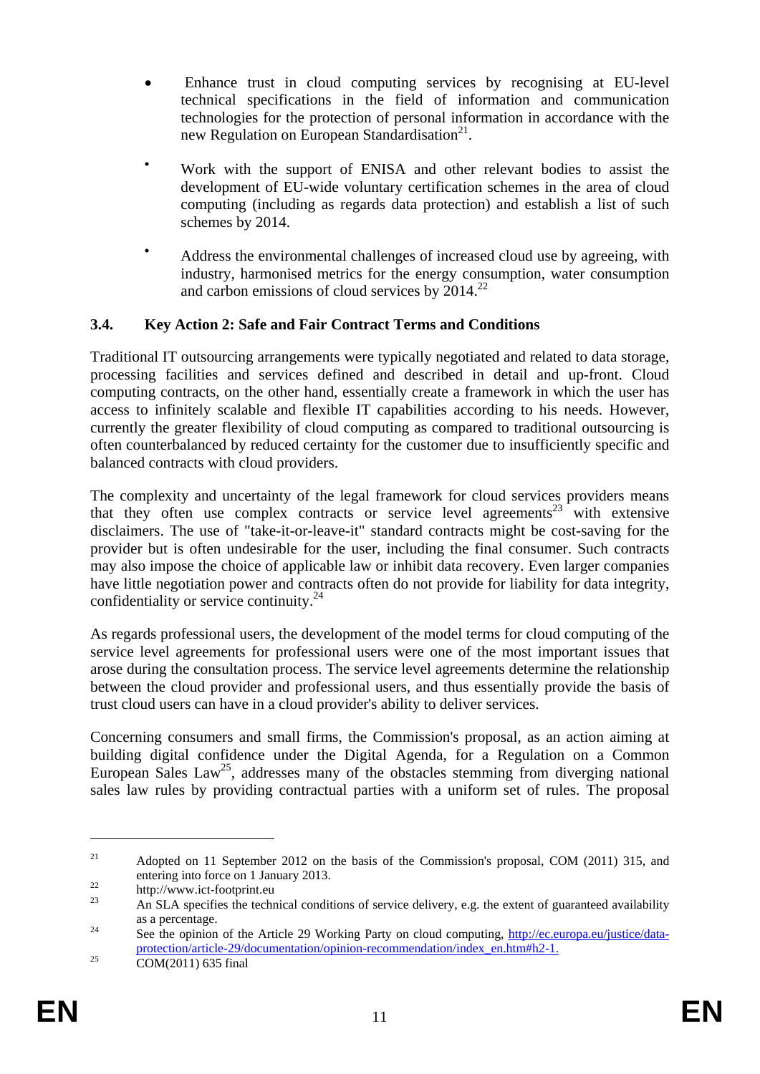- Enhance trust in cloud computing services by recognising at EU-level technical specifications in the field of information and communication technologies for the protection of personal information in accordance with the new Regulation on European Standardisation $2^1$ .
- Work with the support of ENISA and other relevant bodies to assist the development of EU-wide voluntary certification schemes in the area of cloud computing (including as regards data protection) and establish a list of such schemes by 2014.
- Address the environmental challenges of increased cloud use by agreeing, with industry, harmonised metrics for the energy consumption, water consumption and carbon emissions of cloud services by  $2014.<sup>22</sup>$

## **3.4. Key Action 2: Safe and Fair Contract Terms and Conditions**

Traditional IT outsourcing arrangements were typically negotiated and related to data storage, processing facilities and services defined and described in detail and up-front. Cloud computing contracts, on the other hand, essentially create a framework in which the user has access to infinitely scalable and flexible IT capabilities according to his needs. However, currently the greater flexibility of cloud computing as compared to traditional outsourcing is often counterbalanced by reduced certainty for the customer due to insufficiently specific and balanced contracts with cloud providers.

The complexity and uncertainty of the legal framework for cloud services providers means that they often use complex contracts or service level agreements<sup>23</sup> with extensive disclaimers. The use of "take-it-or-leave-it" standard contracts might be cost-saving for the provider but is often undesirable for the user, including the final consumer. Such contracts may also impose the choice of applicable law or inhibit data recovery. Even larger companies have little negotiation power and contracts often do not provide for liability for data integrity, confidentiality or service continuity. $^{24}$ 

As regards professional users, the development of the model terms for cloud computing of the service level agreements for professional users were one of the most important issues that arose during the consultation process. The service level agreements determine the relationship between the cloud provider and professional users, and thus essentially provide the basis of trust cloud users can have in a cloud provider's ability to deliver services.

Concerning consumers and small firms, the Commission's proposal, as an action aiming at building digital confidence under the Digital Agenda, for a Regulation on a Common European Sales Law<sup>25</sup>, addresses many of the obstacles stemming from diverging national sales law rules by providing contractual parties with a uniform set of rules. The proposal

<sup>&</sup>lt;sup>21</sup> Adopted on 11 September 2012 on the basis of the Commission's proposal, COM (2011) 315, and entering into force on 1 January 2013.<br>
http://www.ict-footprint.eu

<sup>23</sup> An SLA specifies the technical conditions of service delivery, e.g. the extent of guaranteed availability as a percentage.<br><sup>24</sup> See the opinion of the Article 29 Working Party on cloud computing[, http://ec.europa.eu/justice/data-](http://ec.europa.eu/justice/data-protection/article-29/documentation/opinion-recommendation/index_en.htm#h2-1)

[protection/article-29/documentation/opinion-recommendation/index\\_en.htm#h2-1.](http://ec.europa.eu/justice/data-protection/article-29/documentation/opinion-recommendation/index_en.htm#h2-1) 25 COM(2011) 635 final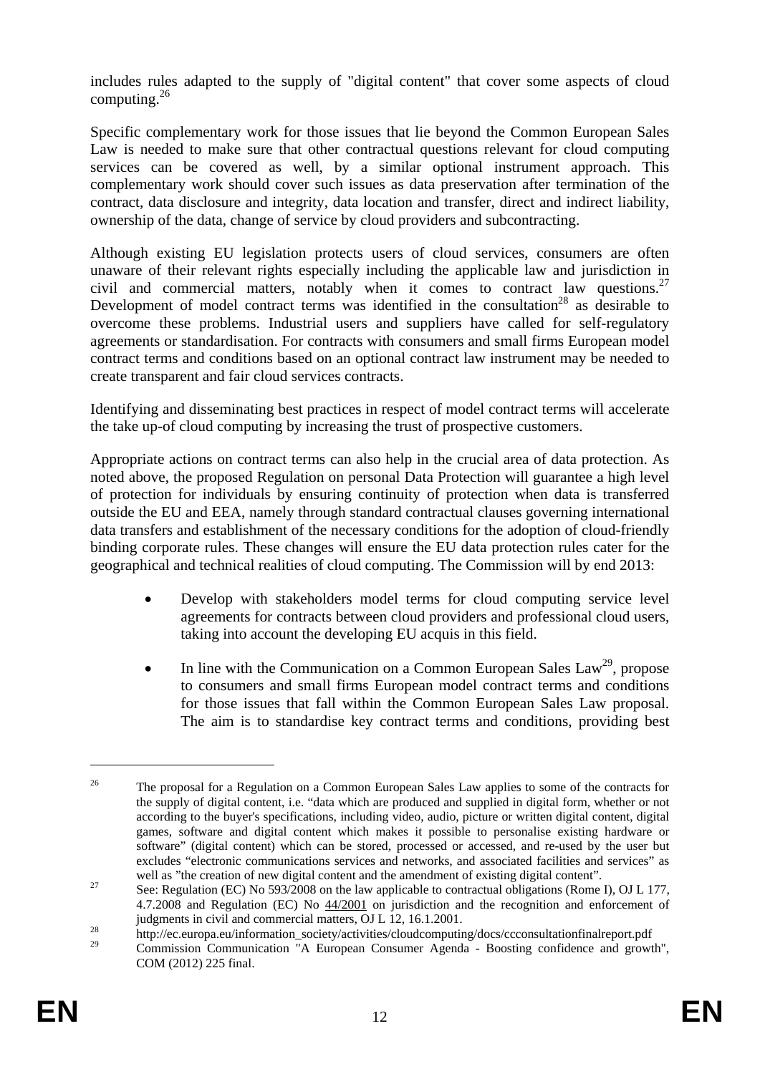includes rules adapted to the supply of "digital content" that cover some aspects of cloud computing. $^{26}$ 

Specific complementary work for those issues that lie beyond the Common European Sales Law is needed to make sure that other contractual questions relevant for cloud computing services can be covered as well, by a similar optional instrument approach. This complementary work should cover such issues as data preservation after termination of the contract, data disclosure and integrity, data location and transfer, direct and indirect liability, ownership of the data, change of service by cloud providers and subcontracting.

Although existing EU legislation protects users of cloud services, consumers are often unaware of their relevant rights especially including the applicable law and jurisdiction in civil and commercial matters, notably when it comes to contract law questions.<sup>27</sup> Development of model contract terms was identified in the consultation<sup>28</sup> as desirable to overcome these problems. Industrial users and suppliers have called for self-regulatory agreements or standardisation. For contracts with consumers and small firms European model contract terms and conditions based on an optional contract law instrument may be needed to create transparent and fair cloud services contracts.

Identifying and disseminating best practices in respect of model contract terms will accelerate the take up-of cloud computing by increasing the trust of prospective customers.

Appropriate actions on contract terms can also help in the crucial area of data protection. As noted above, the proposed Regulation on personal Data Protection will guarantee a high level of protection for individuals by ensuring continuity of protection when data is transferred outside the EU and EEA, namely through standard contractual clauses governing international data transfers and establishment of the necessary conditions for the adoption of cloud-friendly binding corporate rules. These changes will ensure the EU data protection rules cater for the geographical and technical realities of cloud computing. The Commission will by end 2013:

- Develop with stakeholders model terms for cloud computing service level agreements for contracts between cloud providers and professional cloud users, taking into account the developing EU acquis in this field.
- In line with the Communication on a Common European Sales Law<sup>29</sup>, propose to consumers and small firms European model contract terms and conditions for those issues that fall within the Common European Sales Law proposal. The aim is to standardise key contract terms and conditions, providing best

<sup>&</sup>lt;sup>26</sup> The proposal for a Regulation on a Common European Sales Law applies to some of the contracts for the supply of digital content, i.e. "data which are produced and supplied in digital form, whether or not according to the buyer's specifications, including video, audio, picture or written digital content, digital games, software and digital content which makes it possible to personalise existing hardware or software" (digital content) which can be stored, processed or accessed, and re-used by the user but excludes "electronic communications services and networks, and associated facilities and services" as well as "the creation of new digital content and the amendment of existing digital content".

 $\frac{27}{27}$  See: Regulation (EC) No 593/2008 on the law applicable to contractual obligations (Rome I), OJ L 177, 4.7.2008 and Regulation (EC) No [44/2001 on jurisdiction and the recognition and enforcement o](http://eur-lex.europa.eu/LexUriServ/LexUriServ.do?uri=CELEX:32001R0044:EN:NOT)f

judgments in civil and commercial matters, OJ L 12, 16.1.2001.<br>
http://ec.europa.eu/information\_society/activities/cloudcomputing/docs/ccconsultationfinalreport.pdf

<sup>29</sup> Commission Communication "A European Consumer Agenda - Boosting confidence and growth", COM (2012) 225 final.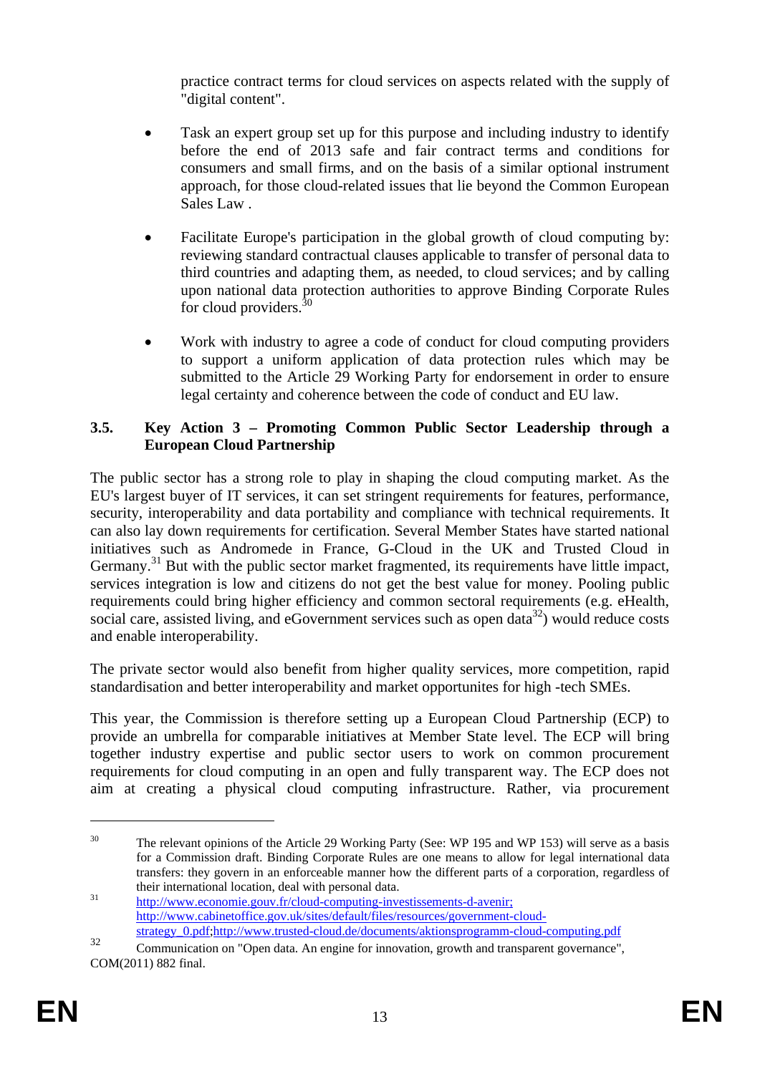practice contract terms for cloud services on aspects related with the supply of "digital content".

- Task an expert group set up for this purpose and including industry to identify before the end of 2013 safe and fair contract terms and conditions for consumers and small firms, and on the basis of a similar optional instrument approach, for those cloud-related issues that lie beyond the Common European Sales Law .
- Facilitate Europe's participation in the global growth of cloud computing by: reviewing standard contractual clauses applicable to transfer of personal data to third countries and adapting them, as needed, to cloud services; and by calling upon national data protection authorities to approve Binding Corporate Rules for cloud providers. $30$
- Work with industry to agree a code of conduct for cloud computing providers to support a uniform application of data protection rules which may be submitted to the Article 29 Working Party for endorsement in order to ensure legal certainty and coherence between the code of conduct and EU law.

## **3.5. Key Action 3 – Promoting Common Public Sector Leadership through a European Cloud Partnership**

The public sector has a strong role to play in shaping the cloud computing market. As the EU's largest buyer of IT services, it can set stringent requirements for features, performance, security, interoperability and data portability and compliance with technical requirements. It can also lay down requirements for certification. Several Member States have started national initiatives such as Andromede in France, G-Cloud in the UK and Trusted Cloud in Germany.<sup>31</sup> But with the public sector market fragmented, its requirements have little impact, services integration is low and citizens do not get the best value for money. Pooling public requirements could bring higher efficiency and common sectoral requirements (e.g. eHealth, social care, assisted living, and eGovernment services such as open data<sup>32</sup>) would reduce costs and enable interoperability.

The private sector would also benefit from higher quality services, more competition, rapid standardisation and better interoperability and market opportunites for high -tech SMEs.

This year, the Commission is therefore setting up a European Cloud Partnership (ECP) to provide an umbrella for comparable initiatives at Member State level. The ECP will bring together industry expertise and public sector users to work on common procurement requirements for cloud computing in an open and fully transparent way. The ECP does not aim at creating a physical cloud computing infrastructure. Rather, via procurement

<sup>&</sup>lt;sup>30</sup> The relevant opinions of the Article 29 Working Party (See: WP 195 and WP 153) will serve as a basis for a Commission draft. Binding Corporate Rules are one means to allow for legal international data transfers: they govern in an enforceable manner how the different parts of a corporation, regardless of the[ir i](http://www.economie.gouv.fr/cloud-computing-investissements-d-avenir)nternational location, deal with personal data.<br><sup>31</sup> htt[p:/](http://www.economie.gouv.fr/cloud-computing-investissements-d-avenir)/www.economie.gouv.fr/cloud-computing-investissements-d-avenir;

[http://www.cabinetoffice.gov.uk/sites/default/files/resources/government-cloud](http://www.cabinetoffice.gov.uk/sites/default/files/resources/government-cloud-strategy_0.pdf)[strategy\\_0.pdf;](http://www.cabinetoffice.gov.uk/sites/default/files/resources/government-cloud-strategy_0.pdf)http:[//www.trusted-cloud.de/documents/aktionsprogramm-cloud-computing.pdf](http://www.trusted-cloud.de/documents/aktionsprogramm-cloud-computing.pdf)

<sup>&</sup>lt;sup>32</sup> Communication on "Open data. An engine for innovation, growth and transparent governance", COM(2011) 882 final.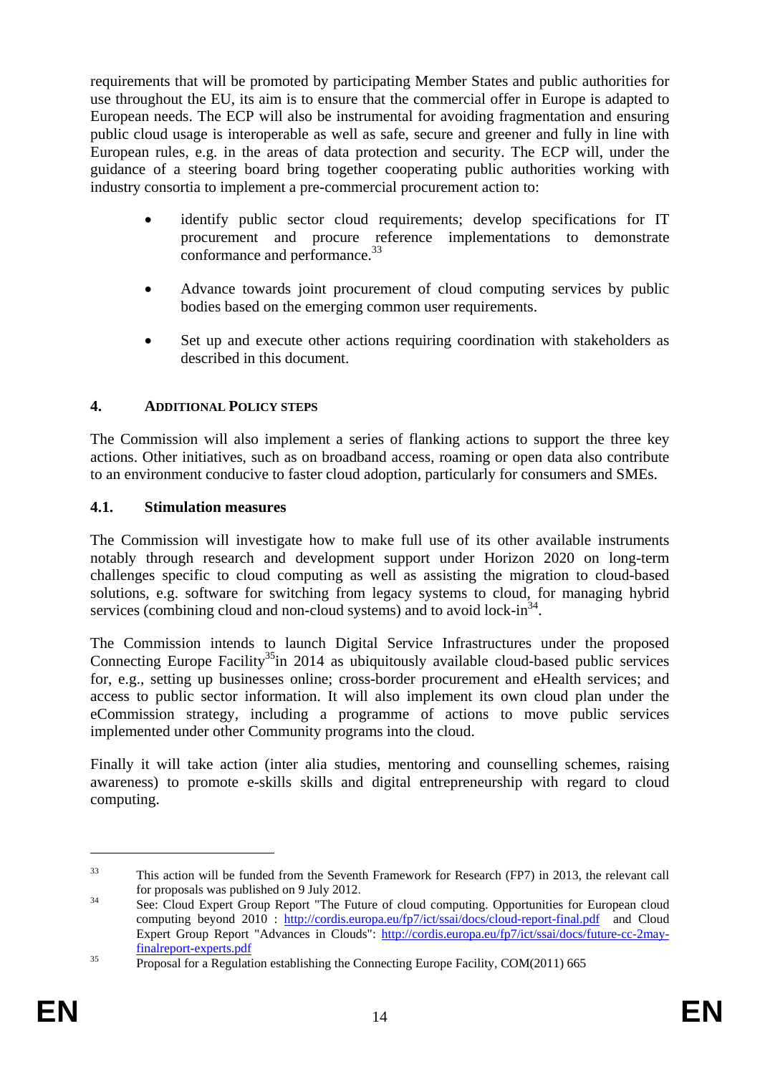requirements that will be promoted by participating Member States and public authorities for use throughout the EU, its aim is to ensure that the commercial offer in Europe is adapted to European needs. The ECP will also be instrumental for avoiding fragmentation and ensuring public cloud usage is interoperable as well as safe, secure and greener and fully in line with European rules, e.g. in the areas of data protection and security. The ECP will, under the guidance of a steering board bring together cooperating public authorities working with industry consortia to implement a pre-commercial procurement action to:

- identify public sector cloud requirements; develop specifications for IT procurement and procure reference implementations to demonstrate conformance and performance.<sup>33</sup>
- Advance towards joint procurement of cloud computing services by public bodies based on the emerging common user requirements.
- Set up and execute other actions requiring coordination with stakeholders as described in this document.

## **4. ADDITIONAL POLICY STEPS**

The Commission will also implement a series of flanking actions to support the three key actions. Other initiatives, such as on broadband access, roaming or open data also contribute to an environment conducive to faster cloud adoption, particularly for consumers and SMEs.

#### **4.1. Stimulation measures**

The Commission will investigate how to make full use of its other available instruments notably through research and development support under Horizon 2020 on long-term challenges specific to cloud computing as well as assisting the migration to cloud-based solutions, e.g. software for switching from legacy systems to cloud, for managing hybrid services (combining cloud and non-cloud systems) and to avoid lock-in $^{34}$ .

The Commission intends to launch Digital Service Infrastructures under the proposed Connecting Europe Facility<sup>35</sup>in 2014 as ubiquitously available cloud-based public services for, e.g., setting up businesses online; cross-border procurement and eHealth services; and access to public sector information. It will also implement its own cloud plan under the eCommission strategy, including a programme of actions to move public services implemented under other Community programs into the cloud.

Finally it will take action (inter alia studies, mentoring and counselling schemes, raising awareness) to promote e-skills skills and digital entrepreneurship with regard to cloud computing.

<sup>33</sup> This action will be funded from the Seventh Framework for Research (FP7) in 2013, the relevant call for proposals was published on 9 July 2012.<br>See: Cloud Expert Group Report "The Future of cloud computing. Opportunities for European cloud

computing beyond 2010 : [http://cordis.europa.eu/fp7/ict/ssai/docs/cloud-re](http://cordis.europa.eu/fp7/ict/ssai/docs/cloud-report-final.pdf)port-final.pdf and Cloud Expert Group Report "Advances in Clouds": [http://cordis.europa.eu/fp7/ict/ssai/docs/future-cc-2may](http://cordis.europa.eu/fp7/ict/ssai/docs/future-cc-2may-finalreport-experts.pdf)[finalreport-experts.pdf](http://cordis.europa.eu/fp7/ict/ssai/docs/future-cc-2may-finalreport-experts.pdf) 35 Proposal for a Regulation establishing the Connecting Europe Facility, COM(2011) 665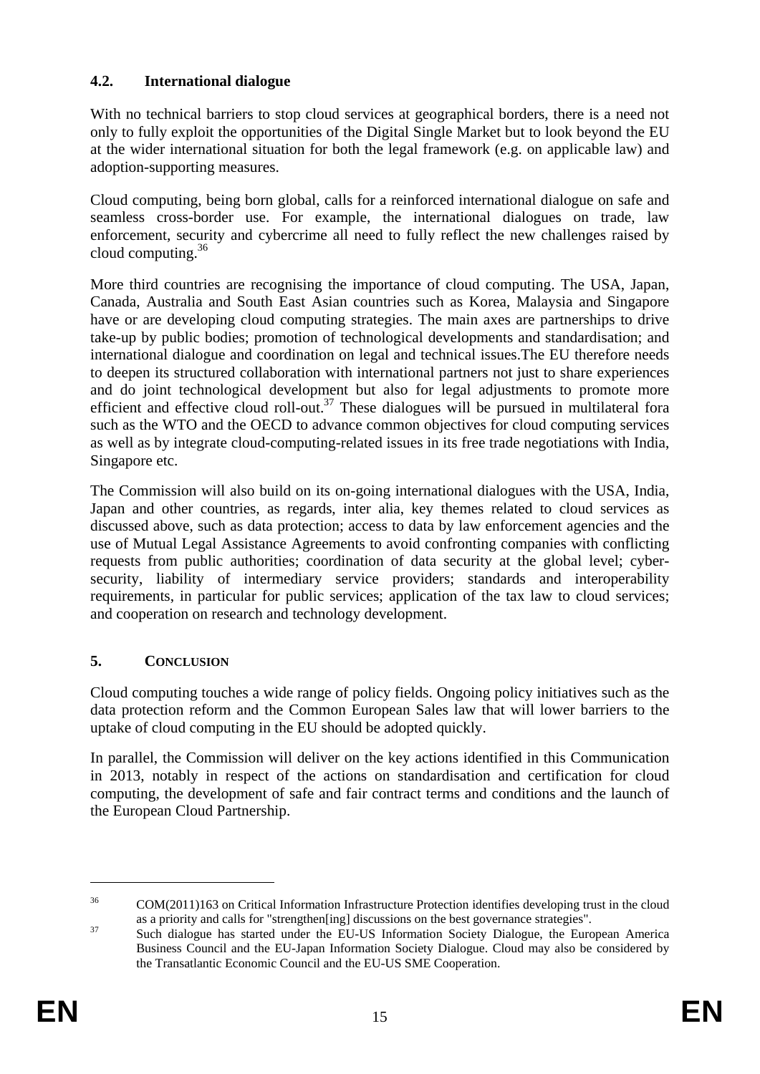# **4.2. International dialogue**

With no technical barriers to stop cloud services at geographical borders, there is a need not only to fully exploit the opportunities of the Digital Single Market but to look beyond the EU at the wider international situation for both the legal framework (e.g. on applicable law) and adoption-supporting measures.

Cloud computing, being born global, calls for a reinforced international dialogue on safe and seamless cross-border use. For example, the international dialogues on trade, law enforcement, security and cybercrime all need to fully reflect the new challenges raised by cloud computing. $36$ 

More third countries are recognising the importance of cloud computing. The USA, Japan, Canada, Australia and South East Asian countries such as Korea, Malaysia and Singapore have or are developing cloud computing strategies. The main axes are partnerships to drive take-up by public bodies; promotion of technological developments and standardisation; and international dialogue and coordination on legal and technical issues.The EU therefore needs to deepen its structured collaboration with international partners not just to share experiences and do joint technological development but also for legal adjustments to promote more efficient and effective cloud roll-out.<sup>37</sup> These dialogues will be pursued in multilateral fora such as the WTO and the OECD to advance common objectives for cloud computing services as well as by integrate cloud-computing-related issues in its free trade negotiations with India, Singapore etc.

The Commission will also build on its on-going international dialogues with the USA, India, Japan and other countries, as regards, inter alia, key themes related to cloud services as discussed above, such as data protection; access to data by law enforcement agencies and the use of Mutual Legal Assistance Agreements to avoid confronting companies with conflicting requests from public authorities; coordination of data security at the global level; cybersecurity, liability of intermediary service providers; standards and interoperability requirements, in particular for public services; application of the tax law to cloud services; and cooperation on research and technology development.

# **5. CONCLUSION**

Cloud computing touches a wide range of policy fields. Ongoing policy initiatives such as the data protection reform and the Common European Sales law that will lower barriers to the uptake of cloud computing in the EU should be adopted quickly.

In parallel, the Commission will deliver on the key actions identified in this Communication in 2013, notably in respect of the actions on standardisation and certification for cloud computing, the development of safe and fair contract terms and conditions and the launch of the European Cloud Partnership.

<sup>&</sup>lt;sup>36</sup> COM(2011)163 on Critical Information Infrastructure Protection identifies developing trust in the cloud

as a priority and calls for "strengthen[ing] discussions on the best governance strategies".<br>Such dialogue has started under the EU-US Information Society Dialogue, the European America Business Council and the EU-Japan Information Society Dialogue. Cloud may also be considered by the Transatlantic Economic Council and the EU-US SME Cooperation.